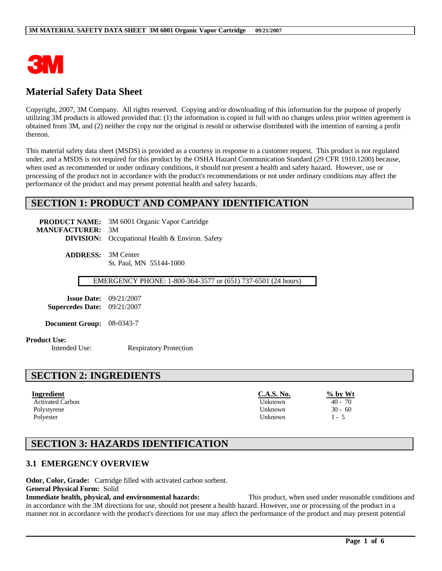

# **Material Safety Data Sheet**

Copyright, 2007, 3M Company. All rights reserved. Copying and/or downloading of this information for the purpose of properly utilizing 3M products is allowed provided that: (1) the information is copied in full with no changes unless prior written agreement is obtained from 3M, and (2) neither the copy nor the original is resold or otherwise distributed with the intention of earning a profit thereon.

This material safety data sheet (MSDS) is provided as a courtesy in response to a customer request. This product is not regulated under, and a MSDS is not required for this product by the OSHA Hazard Communication Standard (29 CFR 1910.1200) because, when used as recommended or under ordinary conditions, it should not present a health and safety hazard. However, use or processing of the product not in accordance with the product's recommendations or not under ordinary conditions may affect the performance of the product and may present potential health and safety hazards.

## **SECTION 1: PRODUCT AND COMPANY IDENTIFICATION**

**PRODUCT NAME:** 3M 6001 Organic Vapor Cartridge **MANUFACTURER:** 3M **DIVISION:** Occupational Health & Environ. Safety

> **ADDRESS:** 3M Center St. Paul, MN 55144-1000

> > EMERGENCY PHONE: 1-800-364-3577 or (651) 737-6501 (24 hours)

**Issue Date:** 09/21/2007 **Supercedes Date:** 09/21/2007

**Document Group:** 08-0343-7

#### **Product Use:**

Intended Use: Respiratory Protection

### **SECTION 2: INGREDIENTS**

| Ingredient              | <b>C.A.S. No.</b> | $\%$ by Wt |
|-------------------------|-------------------|------------|
| <b>Activated Carbon</b> | Unknown           | $40 - 70$  |
| Polystyrene             | Unknown           | $30 - 60$  |
| Polyester               | Unknown           | l - 5      |

# **SECTION 3: HAZARDS IDENTIFICATION**

### **3.1 EMERGENCY OVERVIEW**

**Odor, Color, Grade:** Cartridge filled with activated carbon sorbent.

**General Physical Form:** Solid

**Immediate health, physical, and environmental hazards:** This product, when used under reasonable conditions and in accordance with the 3M directions for use, should not present a health hazard. However, use or processing of the product in a manner not in accordance with the product's directions for use may affect the performance of the product and may present potential

 $\mathcal{L}_\mathcal{L} = \mathcal{L}_\mathcal{L} = \mathcal{L}_\mathcal{L} = \mathcal{L}_\mathcal{L} = \mathcal{L}_\mathcal{L} = \mathcal{L}_\mathcal{L} = \mathcal{L}_\mathcal{L} = \mathcal{L}_\mathcal{L} = \mathcal{L}_\mathcal{L} = \mathcal{L}_\mathcal{L} = \mathcal{L}_\mathcal{L} = \mathcal{L}_\mathcal{L} = \mathcal{L}_\mathcal{L} = \mathcal{L}_\mathcal{L} = \mathcal{L}_\mathcal{L} = \mathcal{L}_\mathcal{L} = \mathcal{L}_\mathcal{L}$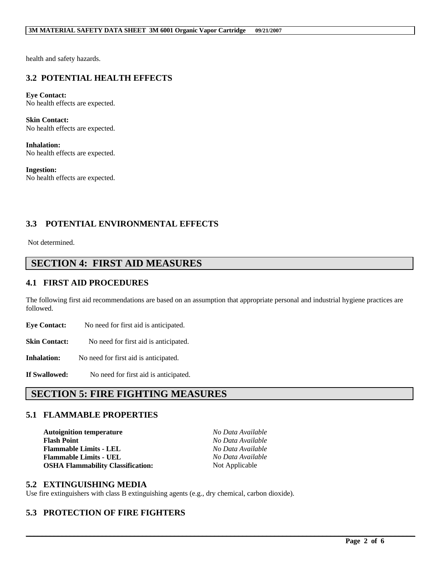#### **3M MATERIAL SAFETY DATA SHEET 3M 6001 Organic Vapor Cartridge 09/21/2007**

health and safety hazards.

## **3.2 POTENTIAL HEALTH EFFECTS**

**Eye Contact:** No health effects are expected.

**Skin Contact:** No health effects are expected.

**Inhalation:** No health effects are expected.

**Ingestion:** No health effects are expected.

### **3.3 POTENTIAL ENVIRONMENTAL EFFECTS**

Not determined.

### **SECTION 4: FIRST AID MEASURES**

### **4.1 FIRST AID PROCEDURES**

The following first aid recommendations are based on an assumption that appropriate personal and industrial hygiene practices are followed.

**Eye Contact:** No need for first aid is anticipated.

**Skin Contact:** No need for first aid is anticipated.

**Inhalation:** No need for first aid is anticipated.

**If Swallowed:** No need for first aid is anticipated.

## **SECTION 5: FIRE FIGHTING MEASURES**

#### **5.1 FLAMMABLE PROPERTIES**

**Autoignition temperature** *No Data Available* **Flash Point** *No Data Available* **Flammable Limits - LEL** *No Data Available* **Flammable Limits - UEL** *No Data Available* **OSHA Flammability Classification:** Not Applicable

 $\mathcal{L}_\mathcal{L} = \mathcal{L}_\mathcal{L} = \mathcal{L}_\mathcal{L} = \mathcal{L}_\mathcal{L} = \mathcal{L}_\mathcal{L} = \mathcal{L}_\mathcal{L} = \mathcal{L}_\mathcal{L} = \mathcal{L}_\mathcal{L} = \mathcal{L}_\mathcal{L} = \mathcal{L}_\mathcal{L} = \mathcal{L}_\mathcal{L} = \mathcal{L}_\mathcal{L} = \mathcal{L}_\mathcal{L} = \mathcal{L}_\mathcal{L} = \mathcal{L}_\mathcal{L} = \mathcal{L}_\mathcal{L} = \mathcal{L}_\mathcal{L}$ 

#### **5.2 EXTINGUISHING MEDIA**

Use fire extinguishers with class B extinguishing agents (e.g., dry chemical, carbon dioxide).

### **5.3 PROTECTION OF FIRE FIGHTERS**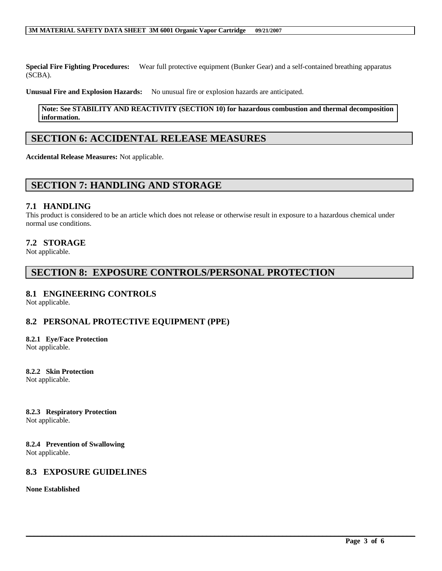#### **3M MATERIAL SAFETY DATA SHEET 3M 6001 Organic Vapor Cartridge 09/21/2007**

**Special Fire Fighting Procedures:** Wear full protective equipment (Bunker Gear) and a self-contained breathing apparatus (SCBA).

**Unusual Fire and Explosion Hazards:** No unusual fire or explosion hazards are anticipated.

#### **Note: See STABILITY AND REACTIVITY (SECTION 10) for hazardous combustion and thermal decomposition information.**

# **SECTION 6: ACCIDENTAL RELEASE MEASURES**

**Accidental Release Measures:** Not applicable.

## **SECTION 7: HANDLING AND STORAGE**

### **7.1 HANDLING**

This product is considered to be an article which does not release or otherwise result in exposure to a hazardous chemical under normal use conditions.

 $\mathcal{L}_\mathcal{L} = \mathcal{L}_\mathcal{L} = \mathcal{L}_\mathcal{L} = \mathcal{L}_\mathcal{L} = \mathcal{L}_\mathcal{L} = \mathcal{L}_\mathcal{L} = \mathcal{L}_\mathcal{L} = \mathcal{L}_\mathcal{L} = \mathcal{L}_\mathcal{L} = \mathcal{L}_\mathcal{L} = \mathcal{L}_\mathcal{L} = \mathcal{L}_\mathcal{L} = \mathcal{L}_\mathcal{L} = \mathcal{L}_\mathcal{L} = \mathcal{L}_\mathcal{L} = \mathcal{L}_\mathcal{L} = \mathcal{L}_\mathcal{L}$ 

### **7.2 STORAGE**

Not applicable.

# **SECTION 8: EXPOSURE CONTROLS/PERSONAL PROTECTION**

### **8.1 ENGINEERING CONTROLS**

Not applicable.

### **8.2 PERSONAL PROTECTIVE EQUIPMENT (PPE)**

### **8.2.1 Eye/Face Protection**

Not applicable.

### **8.2.2 Skin Protection**

Not applicable.

#### **8.2.3 Respiratory Protection**

Not applicable.

#### **8.2.4 Prevention of Swallowing** Not applicable.

### **8.3 EXPOSURE GUIDELINES**

**None Established**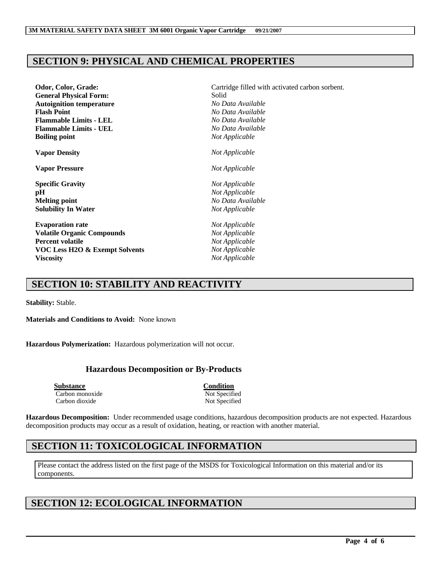# **SECTION 9: PHYSICAL AND CHEMICAL PROPERTIES**

| Odor, Color, Grade:                       | Cartridge filled with activated carbon sorbent.<br>Solid    |  |
|-------------------------------------------|-------------------------------------------------------------|--|
| <b>General Physical Form:</b>             |                                                             |  |
| <b>Autoignition temperature</b>           | No Data Available                                           |  |
| <b>Flash Point</b>                        | No Data Available<br>No Data Available<br>No Data Available |  |
| <b>Flammable Limits - LEL</b>             |                                                             |  |
| <b>Flammable Limits - UEL</b>             |                                                             |  |
| <b>Boiling point</b>                      | Not Applicable                                              |  |
| <b>Vapor Density</b>                      | Not Applicable                                              |  |
| <b>Vapor Pressure</b>                     | Not Applicable                                              |  |
| <b>Specific Gravity</b>                   | Not Applicable                                              |  |
| pН                                        | Not Applicable                                              |  |
| <b>Melting point</b>                      | No Data Available                                           |  |
| <b>Solubility In Water</b>                | Not Applicable                                              |  |
| <b>Evaporation rate</b>                   | Not Applicable                                              |  |
| <b>Volatile Organic Compounds</b>         | Not Applicable                                              |  |
| <b>Percent volatile</b>                   | Not Applicable                                              |  |
| <b>VOC Less H2O &amp; Exempt Solvents</b> | Not Applicable                                              |  |
| <b>Viscosity</b>                          | Not Applicable                                              |  |

# **SECTION 10: STABILITY AND REACTIVITY**

**Stability:** Stable.

**Materials and Conditions to Avoid:** None known

**Hazardous Polymerization:** Hazardous polymerization will not occur.

### **Hazardous Decomposition or By-Products**

**Substance Condition** Carbon monoxide Not Specified Carbon dioxide Not Specified

**Hazardous Decomposition:** Under recommended usage conditions, hazardous decomposition products are not expected. Hazardous decomposition products may occur as a result of oxidation, heating, or reaction with another material.

# **SECTION 11: TOXICOLOGICAL INFORMATION**

Please contact the address listed on the first page of the MSDS for Toxicological Information on this material and/or its components.

 $\mathcal{L}_\mathcal{L} = \mathcal{L}_\mathcal{L} = \mathcal{L}_\mathcal{L} = \mathcal{L}_\mathcal{L} = \mathcal{L}_\mathcal{L} = \mathcal{L}_\mathcal{L} = \mathcal{L}_\mathcal{L} = \mathcal{L}_\mathcal{L} = \mathcal{L}_\mathcal{L} = \mathcal{L}_\mathcal{L} = \mathcal{L}_\mathcal{L} = \mathcal{L}_\mathcal{L} = \mathcal{L}_\mathcal{L} = \mathcal{L}_\mathcal{L} = \mathcal{L}_\mathcal{L} = \mathcal{L}_\mathcal{L} = \mathcal{L}_\mathcal{L}$ 

# **SECTION 12: ECOLOGICAL INFORMATION**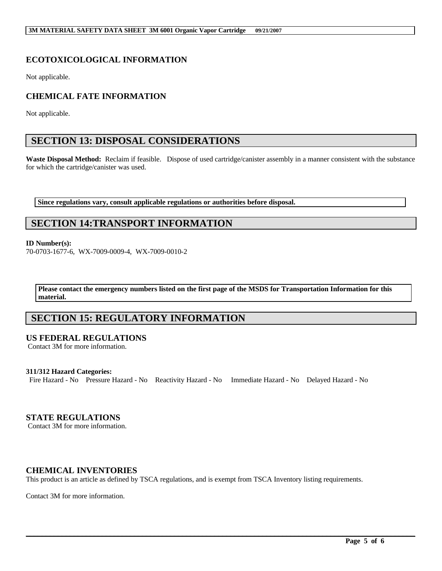# **ECOTOXICOLOGICAL INFORMATION**

Not applicable.

## **CHEMICAL FATE INFORMATION**

Not applicable.

# **SECTION 13: DISPOSAL CONSIDERATIONS**

Waste Disposal Method: Reclaim if feasible. Dispose of used cartridge/canister assembly in a manner consistent with the substance for which the cartridge/canister was used.

**Since regulations vary, consult applicable regulations or authorities before disposal.**

# **SECTION 14:TRANSPORT INFORMATION**

#### **ID Number(s):**

70-0703-1677-6, WX-7009-0009-4, WX-7009-0010-2

**Please contact the emergency numbers listed on the first page of the MSDS for Transportation Information for this material.**

# **SECTION 15: REGULATORY INFORMATION**

### **US FEDERAL REGULATIONS**

Contact 3M for more information.

#### **311/312 Hazard Categories:**

Fire Hazard - No Pressure Hazard - No Reactivity Hazard - No Immediate Hazard - No Delayed Hazard - No

### **STATE REGULATIONS**

Contact 3M for more information.

### **CHEMICAL INVENTORIES**

This product is an article as defined by TSCA regulations, and is exempt from TSCA Inventory listing requirements.

 $\mathcal{L}_\mathcal{L} = \mathcal{L}_\mathcal{L} = \mathcal{L}_\mathcal{L} = \mathcal{L}_\mathcal{L} = \mathcal{L}_\mathcal{L} = \mathcal{L}_\mathcal{L} = \mathcal{L}_\mathcal{L} = \mathcal{L}_\mathcal{L} = \mathcal{L}_\mathcal{L} = \mathcal{L}_\mathcal{L} = \mathcal{L}_\mathcal{L} = \mathcal{L}_\mathcal{L} = \mathcal{L}_\mathcal{L} = \mathcal{L}_\mathcal{L} = \mathcal{L}_\mathcal{L} = \mathcal{L}_\mathcal{L} = \mathcal{L}_\mathcal{L}$ 

Contact 3M for more information.